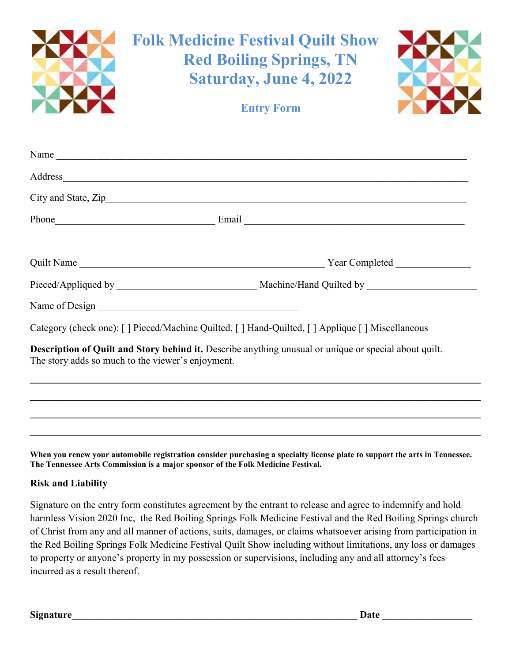

When you renew your automobile registration consider purchasing a specialty license plate to support the arts in Tennessee. The Tennessee Arts Commission is a major sponsor of the Folk Medicine Festival.

#### Risk and Liability

Signature on the entry form constitutes agreement by the entrant to release and agree to indemnify and hold harmless Vision 2020 Inc, the Red Boiling Springs Folk Medicine Festival and the Red Boiling Springs church of Christ from any and all manner of actions, suits, damages, or claims whatsoever arising from participation in the Red Boiling Springs Folk Medicine Festival Quilt Show including without limitations, any loss or damages to property or anyone's property in my possession or supervisions, including any and all attorney's fees incurred as a result thereof.